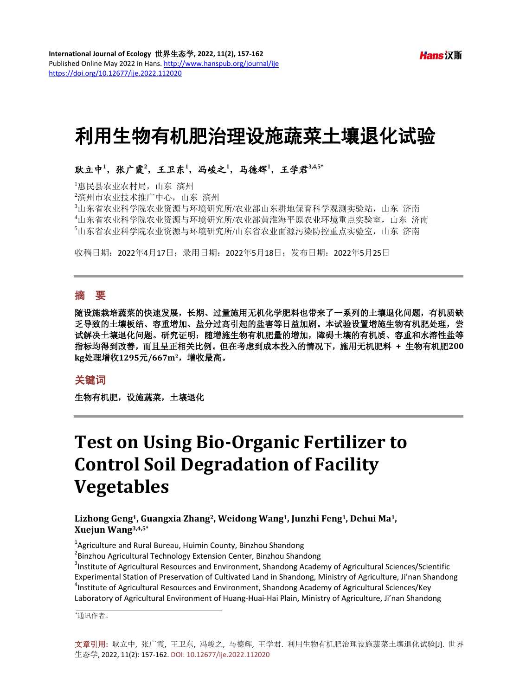# 利用生物有机肥治理设施蔬菜土壤退化试验

# 耿立中<sup>1</sup>,张广霞<sup>2</sup>,王卫东<sup>1</sup>,冯峻之<sup>1</sup>,马德辉<sup>1</sup>,王学君3.4,5\*

 惠民县农业农村局,山东 滨州 滨州市农业技术推广中心,山东 滨州 山东省农业科学院农业资源与环境研究所/农业部山东耕地保育科学观测实验站,山东 济南 山东省农业科学院农业资源与环境研究所/农业部黄淮海平原农业环境重点实验室,山东 济南 山东省农业科学院农业资源与环境研究所/山东省农业面源污染防控重点实验室,山东 济南

收稿日期:2022年4月17日;录用日期:2022年5月18日;发布日期:2022年5月25日

# 摘 要

随设施栽培蔬菜的快速发展,长期、过量施用无机化学肥料也带来了一系列的土壤退化问题,有机质缺 乏导致的土壤板结、容重增加、盐分过高引起的盐害等日益加剧。本试验设置增施生物有机肥处理,尝 试解决土壤退化问题。研究证明:随增施生物有机肥量的增加,障碍土壤的有机质、容重和水溶性盐等 指标均得到改善,而且呈正相关比例。但在考虑到成本投入的情况下,施用无机肥料 **+** 生物有机肥**200 kg**处理增收**1295**元**/667m2**,增收最高。

### 关键词

生物有机肥,设施蔬菜,土壤退化

# **Test on Using Bio-Organic Fertilizer to Control Soil Degradation of Facility Vegetables**

**Lizhong Geng1, Guangxia Zhang2, Weidong Wang1, Junzhi Feng1, Dehui Ma1, Xuejun Wang3,4,5\***

<sup>1</sup> Agriculture and Rural Bureau, Huimin County, Binzhou Shandong<br><sup>2</sup> Binzhou Agricultural Technology Extension Conter, Binzhou Shan

<sup>2</sup> Binzhou Agricultural Technology Extension Center, Binzhou Shandong

<sup>3</sup>Institute of Agricultural Resources and Environment, Shandong Academy of Agricultural Sciences/Scientific Experimental Station of Preservation of Cultivated Land in Shandong, Ministry of Agriculture, Ji'nan Shandong <sup>4</sup> <sup>4</sup>Institute of Agricultural Resources and Environment, Shandong Academy of Agricultural Sciences/Key Laboratory of Agricultural Environment of Huang-Huai-Hai Plain, Ministry of Agriculture, Ji'nan Shandong

\* 通讯作者。

文章引用**:** 耿立中, 张广霞, 王卫东, 冯峻之, 马德辉, 王学君. 利用生物有机肥治理设施蔬菜土壤退化试验[J]. 世界 生态学, 2022, 11(2): 157-162. DOI[: 10.12677/ije.2022.112020](https://doi.org/10.12677/ije.2022.112020)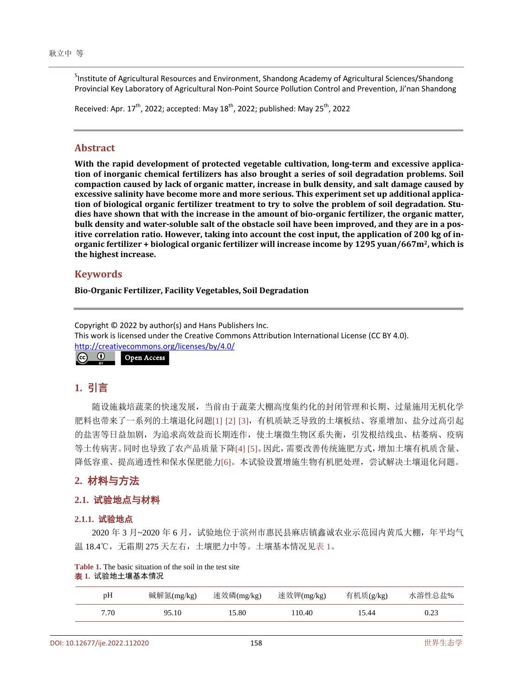5 Institute of Agricultural Resources and Environment, Shandong Academy of Agricultural Sciences/Shandong Provincial Key Laboratory of Agricultural Non-Point Source Pollution Control and Prevention, Ji'nan Shandong

Received: Apr.  $17^{th}$ , 2022; accepted: May  $18^{th}$ , 2022; published: May  $25^{th}$ , 2022

#### **Abstract**

**With the rapid development of protected vegetable cultivation, long-term and excessive application of inorganic chemical fertilizers has also brought a series of soil degradation problems. Soil compaction caused by lack of organic matter, increase in bulk density, and salt damage caused by excessive salinity have become more and more serious. This experiment set up additional application of biological organic fertilizer treatment to try to solve the problem of soil degradation. Studies have shown that with the increase in the amount of bio-organic fertilizer, the organic matter, bulk density and water-soluble salt of the obstacle soil have been improved, and they are in a positive correlation ratio. However, taking into account the cost input, the application of 200 kg of inorganic fertilizer + biological organic fertilizer will increase income by 1295 yuan/667m2, which is the highest increase.**

## **Keywords**

**Bio-Organic Fertilizer, Facility Vegetables, Soil Degradation**

Copyright © 2022 by author(s) and Hans Publishers Inc. This work is licensed under the Creative Commons Attribution International License (CC BY 4.0). <http://creativecommons.org/licenses/by/4.0/>  $\boxed{6}$   $\boxed{0}$ Open Access

# **1.** 引言

随设施栽培蔬菜的快速发展,当前由于蔬菜大棚高度集约化的封闭管理和长期、过量施用无机化学 肥料也带来了一系列的土壤退化问题[\[1\]](#page-5-0) [\[2\]](#page-5-1) [\[3\]](#page-5-2),有机质缺乏导致的土壤板结、容重增加、盐分过高引起 的盐害等日益加剧,为追求高效益而长期连作,使土壤微生物区系失衡,引发根结线虫、枯萎病、疫病 等土传病害。同时也导致了农产品质量下降[\[4\]](#page-5-3) [\[5\]](#page-5-4)。因此,需要改善传统施肥方式,增加土壤有机质含量、 降低容重、提高通透性和保水保肥能力[\[6\]](#page-5-5)。本试验设置增施生物有机肥处理,尝试解决土壤退化问题。

# **2.** 材料与方法

## **2.1.** 试验地点与材料

#### **2.1.1.** 试验地点

2020 年 3 月~2020 年 6 月,试验地位于滨州市惠民县麻店镇鑫诚农业示范园内黄瓜大棚,年平均气 温 18.4℃,无霜期 275 天左右,土壤肥力中等。土壤基本情况[见表](#page-1-0) 1。

| pH   | 碱解氮(mg/kg) | 速效磷(mg/kg) | 速效钾(mg/kg) | 有机质(g/kg) | 水溶性总盐% |
|------|------------|------------|------------|-----------|--------|
| 7.70 | 95.10      | 15.80      | 110.40     | 15.44     | 0.23   |

<span id="page-1-0"></span>**Table 1.** The basic situation of the soil in the test site 表 **1.** 试验地土壤基本情况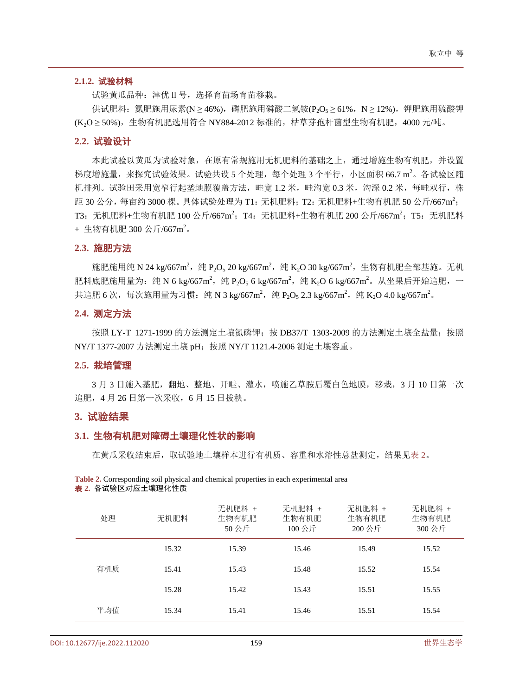#### **2.1.2.** 试验材料

试验黄瓜品种: 津优 ll 号, 选择育苗场育苗移栽。

供试肥料: 氮肥施用尿素(N ≥ 46%), 磷肥施用磷酸二氢铵(P2O<sub>5</sub> ≥ 61%, N ≥ 12%), 钾肥施用硫酸钾 (K2O ≥ 50%), 生物有机肥选用符合 NY884-2012 标准的, 枯草芽孢杆菌型生物有机肥, 4000 元/吨。

#### **2.2.** 试验设计

本此试验以黄瓜为试验对象,在原有常规施用无机肥料的基础之上,通过增施生物有机肥,并设置 梯度增施量,来探究试验效果。试验共设 5 个处理,每个处理 3 个平行,小区面积 66.7 m<sup>2</sup>。各试验区随 机排列。试验田采用宽窄行起垄地膜覆盖方法,畦宽 1.2 米,畦沟宽 0.3 米,沟深 0.2 米,每畦双行,株 距 30 公分, 每亩约 3000 棵。 具体试验处理为 T1: 无机肥料; T2: 无机肥料+生物有机肥 50 公斤/667m<sup>2</sup>; T3:无机肥料+生物有机肥 100 公斤/667m<sup>2</sup>;T4:无机肥料+生物有机肥 200 公斤/667m<sup>2</sup>;T5:无机肥料 + 生物有机肥 300 公斤/667m<sup>2</sup>。

## **2.3.** 施肥方法

施肥施用纯 N 24 kg/667m<sup>2</sup>,纯 P<sub>2</sub>O<sub>5</sub> 20 kg/667m<sup>2</sup>,纯 K<sub>2</sub>O 30 kg/667m<sup>2</sup>,生物有机肥全部基施。无机 肥料底肥施用量为: 纯 N 6 kg/667m<sup>2</sup>,纯 P<sub>2</sub>O<sub>5</sub> 6 kg/667m<sup>2</sup>,纯 K<sub>2</sub>O 6 kg/667m<sup>2</sup>。从坐果后开始追肥,一 共追肥 6 次,每次施用量为习惯:纯 N 3 kg/667m<sup>2</sup>,纯 P<sub>2</sub>O<sub>5</sub> 2.3 kg/667m<sup>2</sup>,纯 K<sub>2</sub>O 4.0 kg/667m<sup>2</sup>。

#### **2.4.** 测定方法

按照 LY-T 1271-1999 的方法测定土壤氮磷钾; 按 DB37/T 1303-2009 的方法测定土壤全盐量; 按照 NY/T 1377-2007 方法测定土壤 pH;按照 NY/T 1121.4-2006 测定土壤容重。

#### **2.5.** 栽培管理

3 月 3 日施入基肥,翻地、整地、开畦、灌水,喷施乙草胺后覆白色地膜,移栽,3 月 10 日第一次 追肥,4 月 26 日第一次采收,6 月 15 日拔秧。

## **3.** 试验结果

#### **3.1.** 生物有机肥对障碍土壤理化性状的影响

在黄瓜采收结束后,取试验地土壤样本进行有机质、容重和水溶性总盐测定,结果[见表](#page-2-0) 2。

<span id="page-2-0"></span>

| Table 2. Corresponding soil physical and chemical properties in each experimental area |  |
|----------------------------------------------------------------------------------------|--|
| <b>表 2.</b> 各试验区对应土壤理化性质                                                               |  |

| 处理  | 无机肥料  | 无机肥料 +<br>生物有机肥<br>50公斤 | 无机肥料 +<br>生物有机肥<br>100 公斤 | 无机肥料 +<br>生物有机肥<br>200公斤 | 无机肥料 +<br>生物有机肥<br>300公斤 |
|-----|-------|-------------------------|---------------------------|--------------------------|--------------------------|
|     | 15.32 | 15.39                   | 15.46                     | 15.49                    | 15.52                    |
| 有机质 | 15.41 | 15.43                   | 15.48                     | 15.52                    | 15.54                    |
|     | 15.28 | 15.42                   | 15.43                     | 15.51                    | 15.55                    |
| 平均值 | 15.34 | 15.41                   | 15.46                     | 15.51                    | 15.54                    |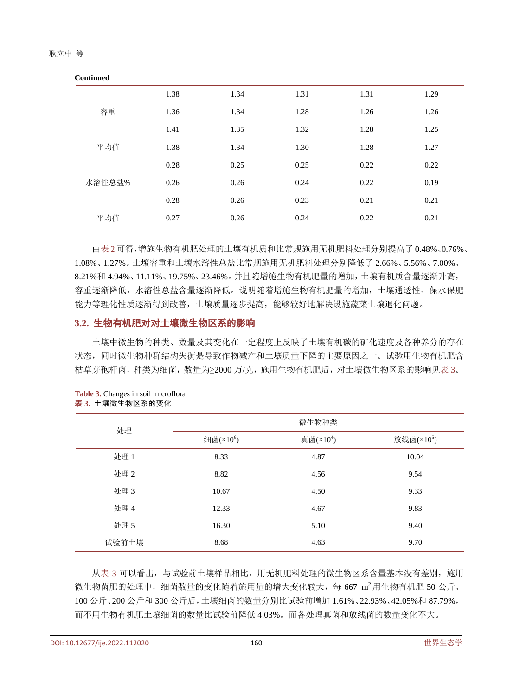| <b>Continued</b> |      |      |      |      |      |
|------------------|------|------|------|------|------|
|                  | 1.38 | 1.34 | 1.31 | 1.31 | 1.29 |
| 容重               | 1.36 | 1.34 | 1.28 | 1.26 | 1.26 |
|                  | 1.41 | 1.35 | 1.32 | 1.28 | 1.25 |
| 平均值              | 1.38 | 1.34 | 1.30 | 1.28 | 1.27 |
|                  | 0.28 | 0.25 | 0.25 | 0.22 | 0.22 |
| 水溶性总盐%           | 0.26 | 0.26 | 0.24 | 0.22 | 0.19 |
|                  | 0.28 | 0.26 | 0.23 | 0.21 | 0.21 |
| 平均值              | 0.27 | 0.26 | 0.24 | 0.22 | 0.21 |

[由表](#page-2-0) 2 可得,增施生物有机肥处理的土壤有机质和比常规施用无机肥料处理分别提高了 0.48%、0.76%、 1.08%、1.27%。土壤容重和土壤水溶性总盐比常规施用无机肥料处理分别降低了 2.66%、5.56%、7.00%、 8.21%和 4.94%、11.11%、19.75%、23.46%。并且随增施生物有机肥量的增加,土壤有机质含量逐渐升高, 容重逐渐降低,水溶性总盐含量逐渐降低。说明随着增施生物有机肥量的增加,土壤通透性、保水保肥 能力等理化性质逐渐得到改善,土壤质量逐步提高,能够较好地解决设施蔬菜土壤退化问题。

## **3.2.** 生物有机肥对对土壤微生物区系的影响

土壤中微生物的种类、数量及其变化在一定程度上反映了土壤有机碳的矿化速度及各种养分的存在 状态,同时微生物种群结构失衡是导致作物减产和土壤质量下降的主要原因之一。试验用生物有机肥含 枯草芽孢杆菌,种类为细菌,数量为≥2000 万/克,施用生物有机肥后,对土壤微生物区系的影响[见表](#page-3-0) 3。

| 处理    |                       | 微生物种类        |               |
|-------|-----------------------|--------------|---------------|
|       | 细菌(×10 <sup>6</sup> ) | 真菌 $(x10^4)$ | 放线菌 $(x10^5)$ |
| 处理 1  | 8.33                  | 4.87         | 10.04         |
| 处理 2  | 8.82                  | 4.56         | 9.54          |
| 处理3   | 10.67                 | 4.50         | 9.33          |
| 处理 4  | 12.33                 | 4.67         | 9.83          |
| 处理 5  | 16.30                 | 5.10         | 9.40          |
| 试验前土壤 | 8.68                  | 4.63         | 9.70          |

<span id="page-3-0"></span>**Table 3.** Changes in soil microflora 表 **3.** 土壤微生物区系的变化

[从表](#page-3-0) 3 可以看出, 与试验前土壤样品相比, 用无机肥料处理的微生物区系含量基本没有差别, 施用 微生物菌肥的处理中, 细菌数量的变化随着施用量的增大变化较大, 每 667 m2用生物有机肥 50 公斤、 100 公斤、200 公斤和 300 公斤后,土壤细菌的数量分别比试验前增加 1.61%、22.93%、42.05%和 87.79%, 而不用生物有机肥土壤细菌的数量比试验前降低 4.03%。而各处理真菌和放线菌的数量变化不大。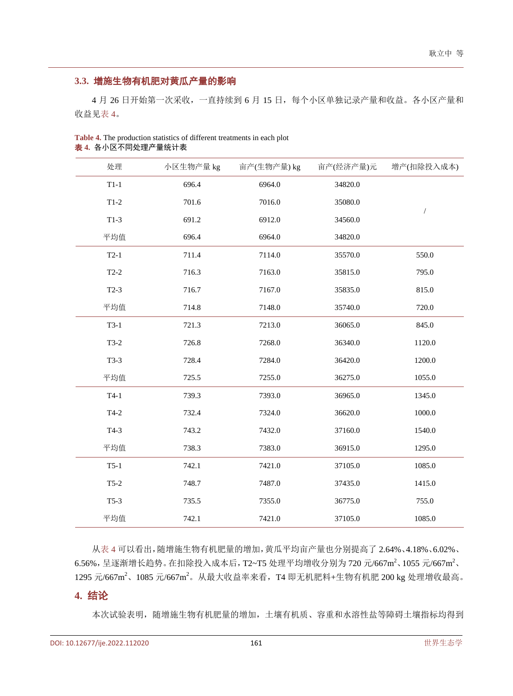# **3.3.** 增施生物有机肥对黄瓜产量的影响

4 月 26 日开始第一次采收,一直持续到 6 月 15 日,每个小区单独记录产量和收益。各小区产量和 收益[见表](#page-4-0) 4。

| 处理     | 小区生物产量 kg | 亩产(生物产量) kg | 亩产(经济产量)元 | 增产(扣除投入成本) |
|--------|-----------|-------------|-----------|------------|
| $T1-1$ | 696.4     | 6964.0      | 34820.0   |            |
| $T1-2$ | 701.6     | 7016.0      | 35080.0   |            |
| $T1-3$ | 691.2     | 6912.0      | 34560.0   | $\sqrt{2}$ |
| 平均值    | 696.4     | 6964.0      | 34820.0   |            |
| $T2-1$ | 711.4     | 7114.0      | 35570.0   | 550.0      |
| $T2-2$ | 716.3     | 7163.0      | 35815.0   | 795.0      |
| $T2-3$ | 716.7     | 7167.0      | 35835.0   | 815.0      |
| 平均值    | 714.8     | 7148.0      | 35740.0   | 720.0      |
| $T3-1$ | 721.3     | 7213.0      | 36065.0   | 845.0      |
| $T3-2$ | 726.8     | 7268.0      | 36340.0   | 1120.0     |
| $T3-3$ | 728.4     | 7284.0      | 36420.0   | 1200.0     |
| 平均值    | 725.5     | 7255.0      | 36275.0   | 1055.0     |
| $T4-1$ | 739.3     | 7393.0      | 36965.0   | 1345.0     |
| $T4-2$ | 732.4     | 7324.0      | 36620.0   | 1000.0     |
| $T4-3$ | 743.2     | 7432.0      | 37160.0   | 1540.0     |
| 平均值    | 738.3     | 7383.0      | 36915.0   | 1295.0     |
| $T5-1$ | 742.1     | 7421.0      | 37105.0   | 1085.0     |
| $T5-2$ | 748.7     | 7487.0      | 37435.0   | 1415.0     |
| $T5-3$ | 735.5     | 7355.0      | 36775.0   | 755.0      |
| 平均值    | 742.1     | 7421.0      | 37105.0   | 1085.0     |

<span id="page-4-0"></span>**Table 4.** The production statistics of different treatments in each plot 表 **4.** 各小区不同处理产量统计表

[从表](#page-4-0) 4 可以看出,随增施生物有机肥量的增加,黄瓜平均亩产量也分别提高了 2.64%、4.18%、6.02%、 6.56%,呈逐渐增长趋势。在扣除投入成本后,T2~T5 处理平均增收分别为 720 元/667m2、1055 元/667m2、 1295 元/667m2、1085 元/667m2。从最大收益率来看,T4 即无机肥料+生物有机肥 200 kg 处理增收最高。

## **4.** 结论

本次试验表明,随增施生物有机肥量的增加,土壤有机质、容重和水溶性盐等障碍土壤指标均得到